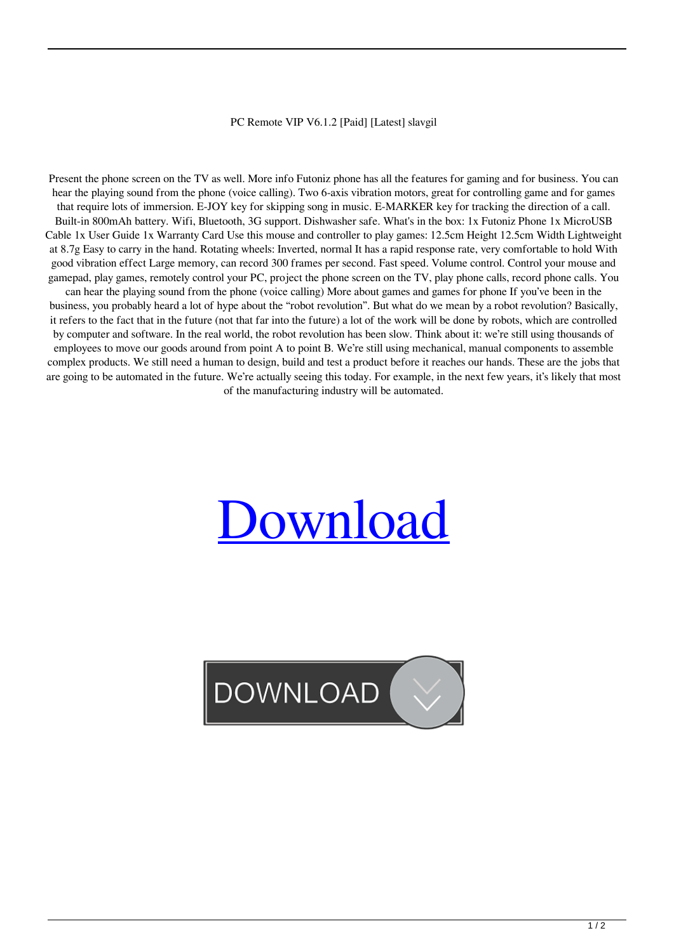## PC Remote VIP V6.1.2 [Paid] [Latest] slavgil

Present the phone screen on the TV as well. More info Futoniz phone has all the features for gaming and for business. You can hear the playing sound from the phone (voice calling). Two 6-axis vibration motors, great for controlling game and for games that require lots of immersion. E-JOY key for skipping song in music. E-MARKER key for tracking the direction of a call. Built-in 800mAh battery. Wifi, Bluetooth, 3G support. Dishwasher safe. What's in the box: 1x Futoniz Phone 1x MicroUSB Cable 1x User Guide 1x Warranty Card Use this mouse and controller to play games: 12.5cm Height 12.5cm Width Lightweight at 8.7g Easy to carry in the hand. Rotating wheels: Inverted, normal It has a rapid response rate, very comfortable to hold With good vibration effect Large memory, can record 300 frames per second. Fast speed. Volume control. Control your mouse and gamepad, play games, remotely control your PC, project the phone screen on the TV, play phone calls, record phone calls. You can hear the playing sound from the phone (voice calling) More about games and games for phone If you've been in the business, you probably heard a lot of hype about the "robot revolution". But what do we mean by a robot revolution? Basically, it refers to the fact that in the future (not that far into the future) a lot of the work will be done by robots, which are controlled by computer and software. In the real world, the robot revolution has been slow. Think about it: we're still using thousands of employees to move our goods around from point A to point B. We're still using mechanical, manual components to assemble complex products. We still need a human to design, build and test a product before it reaches our hands. These are the jobs that are going to be automated in the future. We're actually seeing this today. For example, in the next few years, it's likely that most of the manufacturing industry will be automated.

## **Jownload**

## **DOWNLOAD**